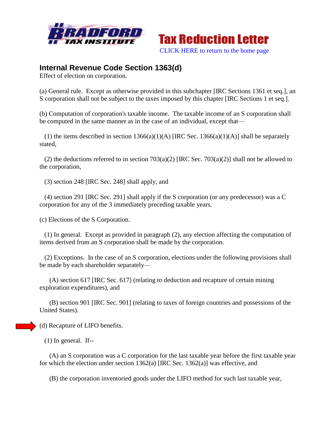



## **Internal Revenue Code Section 1363(d)**

Effect of election on corporation.

(a) General rule. Except as otherwise provided in this subchapter [IRC Sections 1361 et seq.], an S corporation shall not be subject to the taxes imposed by this chapter [IRC Sections 1 et seq.].

(b) Computation of corporation's taxable income. The taxable income of an S corporation shall be computed in the same manner as in the case of an individual, except that—

(1) the items described in section  $1366(a)(1)(A)$  [IRC Sec.  $1366(a)(1)(A)$ ] shall be separately stated,

(2) the deductions referred to in section 703(a)(2) [IRC Sec. 703(a)(2)] shall not be allowed to the corporation,

(3) section 248 [IRC Sec. 248] shall apply, and

 (4) section 291 [IRC Sec. 291] shall apply if the S corporation (or any predecessor) was a C corporation for any of the 3 immediately preceding taxable years.

(c) Elections of the S Corporation.

 (1) In general. Except as provided in paragraph (2), any election affecting the computation of items derived from an S corporation shall be made by the corporation.

 (2) Exceptions. In the case of an S corporation, elections under the following provisions shall be made by each shareholder separately—

 (A) section 617 [IRC Sec. 617] (relating to deduction and recapture of certain mining exploration expenditures), and

 (B) section 901 [IRC Sec. 901] (relating to taxes of foreign countries and possessions of the United States).

(d) Recapture of LIFO benefits.

(1) In general. If--

 (A) an S corporation was a C corporation for the last taxable year before the first taxable year for which the election under section  $1362(a)$  [IRC Sec.  $1362(a)$ ] was effective, and

(B) the corporation inventoried goods under the LIFO method for such last taxable year,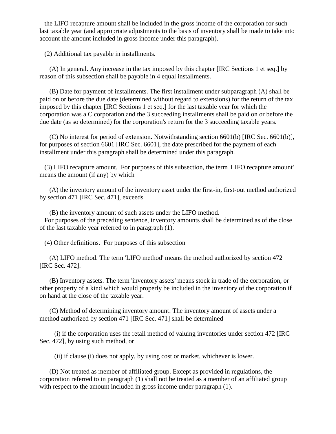the LIFO recapture amount shall be included in the gross income of the corporation for such last taxable year (and appropriate adjustments to the basis of inventory shall be made to take into account the amount included in gross income under this paragraph).

(2) Additional tax payable in installments.

 (A) In general. Any increase in the tax imposed by this chapter [IRC Sections 1 et seq.] by reason of this subsection shall be payable in 4 equal installments.

 (B) Date for payment of installments. The first installment under subparagraph (A) shall be paid on or before the due date (determined without regard to extensions) for the return of the tax imposed by this chapter [IRC Sections 1 et seq.] for the last taxable year for which the corporation was a C corporation and the 3 succeeding installments shall be paid on or before the due date (as so determined) for the corporation's return for the 3 succeeding taxable years.

 (C) No interest for period of extension. Notwithstanding section 6601(b) [IRC Sec. 6601(b)], for purposes of section 6601 [IRC Sec. 6601], the date prescribed for the payment of each installment under this paragraph shall be determined under this paragraph.

 (3) LIFO recapture amount. For purposes of this subsection, the term 'LIFO recapture amount' means the amount (if any) by which—

 (A) the inventory amount of the inventory asset under the first-in, first-out method authorized by section 471 [IRC Sec. 471], exceeds

(B) the inventory amount of such assets under the LIFO method.

 For purposes of the preceding sentence, inventory amounts shall be determined as of the close of the last taxable year referred to in paragraph (1).

(4) Other definitions. For purposes of this subsection—

 (A) LIFO method. The term 'LIFO method' means the method authorized by section 472 [IRC Sec. 472].

 (B) Inventory assets. The term 'inventory assets' means stock in trade of the corporation, or other property of a kind which would properly be included in the inventory of the corporation if on hand at the close of the taxable year.

 (C) Method of determining inventory amount. The inventory amount of assets under a method authorized by section 471 [IRC Sec. 471] shall be determined—

 (i) if the corporation uses the retail method of valuing inventories under section 472 [IRC Sec. 472], by using such method, or

(ii) if clause (i) does not apply, by using cost or market, whichever is lower.

 (D) Not treated as member of affiliated group. Except as provided in regulations, the corporation referred to in paragraph (1) shall not be treated as a member of an affiliated group with respect to the amount included in gross income under paragraph  $(1)$ .